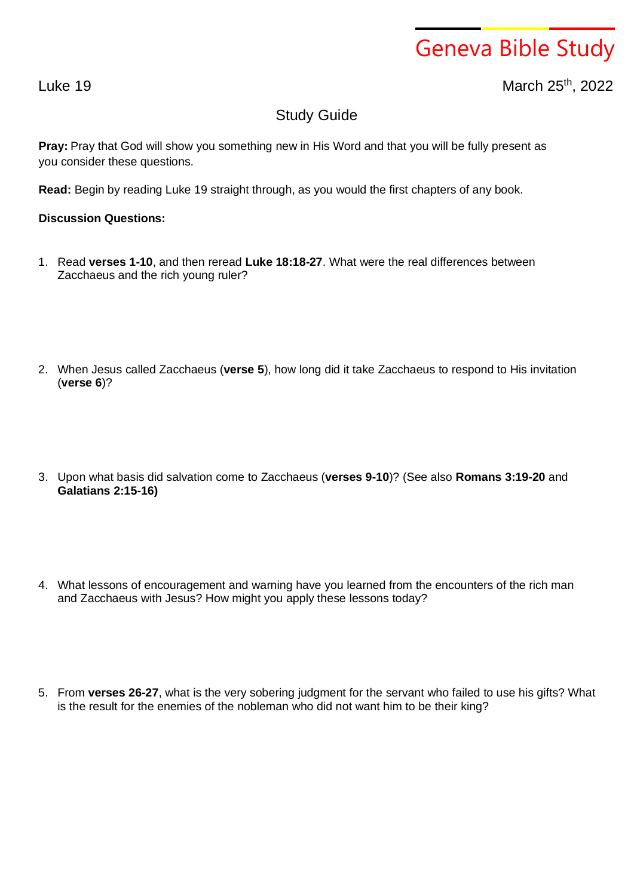## Geneva Bible Study

Luke 19 March 25th , 2022

## Study Guide

**Pray:** Pray that God will show you something new in His Word and that you will be fully present as you consider these questions.

**Read:** Begin by reading Luke 19 straight through, as you would the first chapters of any book.

## **Discussion Questions:**

- 1. Read **verses 1-10**, and then reread **Luke 18:18-27**. What were the real differences between Zacchaeus and the rich young ruler?
- 2. When Jesus called Zacchaeus (**verse 5**), how long did it take Zacchaeus to respond to His invitation (**verse 6**)?
- 3. Upon what basis did salvation come to Zacchaeus (**verses 9-10**)? (See also **Romans 3:19-20** and **Galatians 2:15-16)**
- 4. What lessons of encouragement and warning have you learned from the encounters of the rich man and Zacchaeus with Jesus? How might you apply these lessons today?
- 5. From **verses 26-27**, what is the very sobering judgment for the servant who failed to use his gifts? What is the result for the enemies of the nobleman who did not want him to be their king?